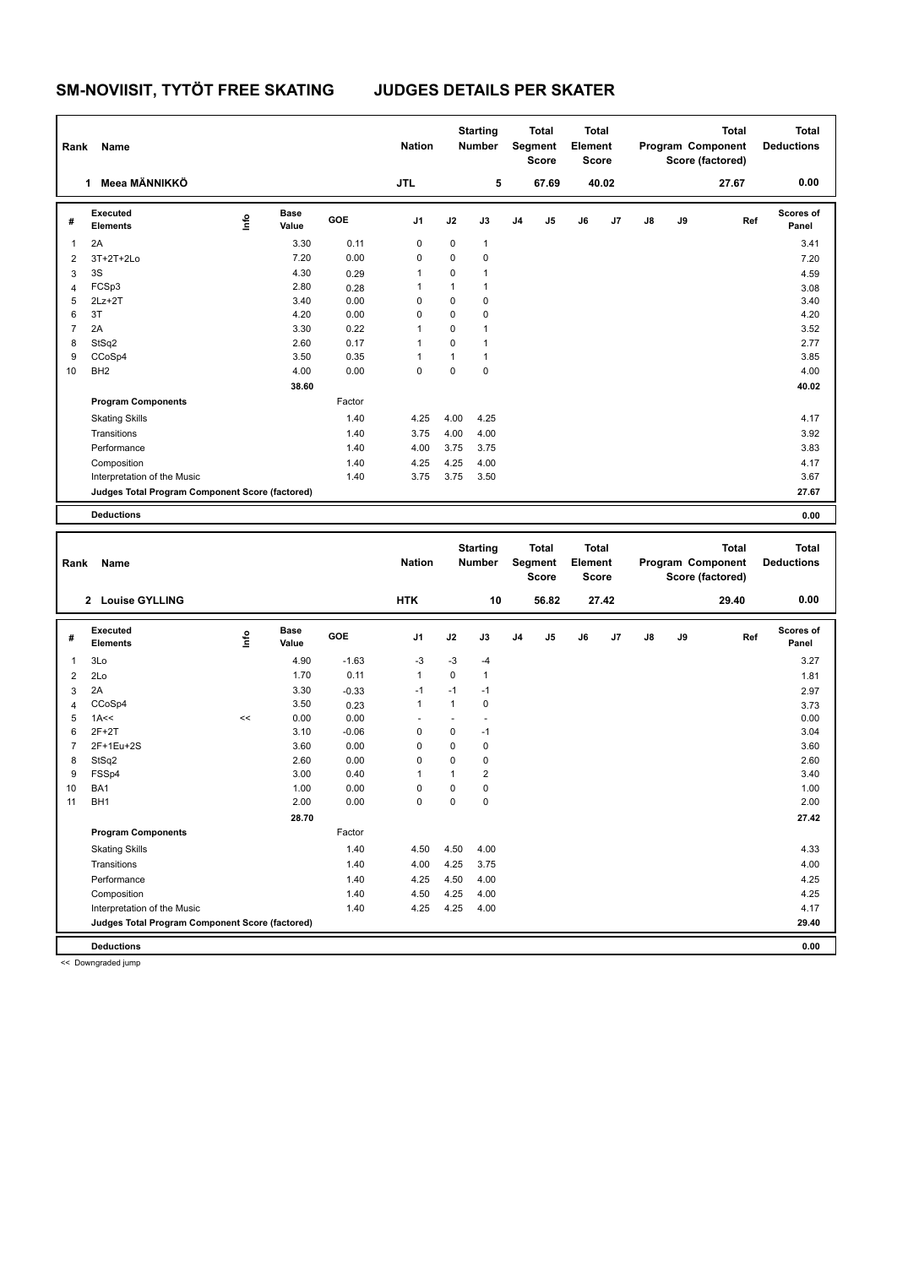| Rank                    | Name                                            |                                  |                      |                 | <b>Nation</b>        |              | <b>Starting</b><br><b>Number</b> |                | Total<br>Segment<br><b>Score</b> | Total<br>Element<br><b>Score</b> |       |    |    | Total<br>Program Component<br>Score (factored) |     | <b>Total</b><br><b>Deductions</b> |
|-------------------------|-------------------------------------------------|----------------------------------|----------------------|-----------------|----------------------|--------------|----------------------------------|----------------|----------------------------------|----------------------------------|-------|----|----|------------------------------------------------|-----|-----------------------------------|
|                         | 1 Meea MÄNNIKKÖ                                 |                                  |                      |                 | <b>JTL</b>           |              | 5                                |                | 67.69                            |                                  | 40.02 |    |    | 27.67                                          |     | 0.00                              |
| #                       | Executed<br><b>Elements</b>                     | $\mathop{\mathsf{Irr}}\nolimits$ | <b>Base</b><br>Value | GOE             | J1                   | J2           | J3                               | J <sub>4</sub> | J5                               | J6                               | J7    | J8 | J9 |                                                | Ref | Scores of<br>Panel                |
| 1                       | 2A                                              |                                  | 3.30                 | 0.11            | 0                    | 0            | 1                                |                |                                  |                                  |       |    |    |                                                |     | 3.41                              |
| $\overline{\mathbf{c}}$ | 3T+2T+2Lo                                       |                                  | 7.20                 | 0.00            | 0                    | 0            | 0                                |                |                                  |                                  |       |    |    |                                                |     | 7.20                              |
| 3                       | 3S                                              |                                  | 4.30                 | 0.29            | 1                    | 0            | $\mathbf{1}$                     |                |                                  |                                  |       |    |    |                                                |     | 4.59                              |
| 4                       | FCSp3                                           |                                  | 2.80                 | 0.28            | 1                    | $\mathbf{1}$ | $\mathbf{1}$                     |                |                                  |                                  |       |    |    |                                                |     | 3.08                              |
| 5                       | $2Lz+2T$                                        |                                  | 3.40                 | 0.00            | 0                    | 0            | 0                                |                |                                  |                                  |       |    |    |                                                |     | 3.40                              |
| 6                       | 3T                                              |                                  | 4.20                 | 0.00            | 0                    | 0            | $\mathbf 0$                      |                |                                  |                                  |       |    |    |                                                |     | 4.20                              |
| $\overline{7}$          | 2A                                              |                                  | 3.30                 | 0.22            | $\mathbf{1}$         | 0            | $\mathbf{1}$                     |                |                                  |                                  |       |    |    |                                                |     | 3.52                              |
| 8                       | StSq2                                           |                                  | 2.60                 | 0.17            | 1                    | 0            | $\mathbf{1}$                     |                |                                  |                                  |       |    |    |                                                |     | 2.77                              |
| 9                       | CCoSp4                                          |                                  | 3.50                 | 0.35            | 1                    | $\mathbf{1}$ | $\mathbf{1}$                     |                |                                  |                                  |       |    |    |                                                |     | 3.85                              |
| 10                      | BH <sub>2</sub>                                 |                                  | 4.00                 | 0.00            | 0                    | 0            | $\pmb{0}$                        |                |                                  |                                  |       |    |    |                                                |     | 4.00                              |
|                         |                                                 |                                  | 38.60                |                 |                      |              |                                  |                |                                  |                                  |       |    |    |                                                |     | 40.02                             |
|                         | <b>Program Components</b>                       |                                  |                      | Factor          |                      |              |                                  |                |                                  |                                  |       |    |    |                                                |     |                                   |
|                         | <b>Skating Skills</b>                           |                                  |                      | 1.40            | 4.25                 | 4.00         | 4.25                             |                |                                  |                                  |       |    |    |                                                |     | 4.17                              |
|                         | Transitions                                     |                                  |                      | 1.40            | 3.75                 | 4.00         | 4.00                             |                |                                  |                                  |       |    |    |                                                |     | 3.92                              |
|                         | Performance                                     |                                  |                      | 1.40            | 4.00                 | 3.75         | 3.75                             |                |                                  |                                  |       |    |    |                                                |     | 3.83                              |
|                         | Composition                                     |                                  |                      | 1.40            | 4.25                 | 4.25         | 4.00                             |                |                                  |                                  |       |    |    |                                                |     | 4.17                              |
|                         | Interpretation of the Music                     |                                  |                      | 1.40            | 3.75                 | 3.75         | 3.50                             |                |                                  |                                  |       |    |    |                                                |     | 3.67                              |
|                         | Judges Total Program Component Score (factored) |                                  |                      |                 |                      |              |                                  |                |                                  |                                  |       |    |    |                                                |     | 27.67                             |
|                         | <b>Deductions</b>                               |                                  |                      |                 |                      |              |                                  |                |                                  |                                  |       |    |    |                                                |     | 0.00                              |
|                         |                                                 |                                  |                      |                 |                      |              |                                  |                |                                  |                                  |       |    |    |                                                |     |                                   |
|                         |                                                 |                                  |                      |                 |                      |              |                                  |                |                                  |                                  |       |    |    |                                                |     |                                   |
|                         |                                                 |                                  |                      |                 |                      |              |                                  |                |                                  |                                  |       |    |    |                                                |     |                                   |
|                         |                                                 |                                  |                      |                 |                      |              | <b>Starting</b>                  |                | <b>Total</b>                     | Total                            |       |    |    | <b>Total</b>                                   |     | <b>Total</b>                      |
| Rank                    | Name                                            |                                  |                      |                 | <b>Nation</b>        |              | <b>Number</b>                    |                | Segment                          | Element                          |       |    |    | Program Component                              |     | <b>Deductions</b>                 |
|                         |                                                 |                                  |                      |                 |                      |              |                                  |                | <b>Score</b>                     | <b>Score</b>                     |       |    |    | Score (factored)                               |     |                                   |
|                         | 2 Louise GYLLING                                |                                  |                      |                 | <b>HTK</b>           |              | 10                               |                | 56.82                            |                                  | 27.42 |    |    | 29.40                                          |     | 0.00                              |
| #                       | Executed<br><b>Elements</b>                     | lnfo                             | <b>Base</b><br>Value | GOE             | J1                   | J2           | J3                               | J4             | J5                               | J6                               | J7    | J8 | J9 |                                                | Ref | Scores of<br>Panel                |
| 1                       | 3Lo                                             |                                  | 4.90                 | $-1.63$         | $-3$                 | $-3$         | $-4$                             |                |                                  |                                  |       |    |    |                                                |     | 3.27                              |
| 2                       | 2Lo                                             |                                  | 1.70                 | 0.11            | $\mathbf{1}$         | 0            | $\mathbf{1}$                     |                |                                  |                                  |       |    |    |                                                |     | 1.81                              |
|                         | 2A                                              |                                  | 3.30                 |                 | $-1$                 | $-1$         | $-1$                             |                |                                  |                                  |       |    |    |                                                |     |                                   |
| 3<br>4                  | CCoSp4                                          |                                  | 3.50                 | $-0.33$<br>0.23 | 1                    | $\mathbf{1}$ | 0                                |                |                                  |                                  |       |    |    |                                                |     | 2.97<br>3.73                      |
| 5                       | 1A<<                                            | <<                               | 0.00                 | 0.00            | $\ddot{\phantom{1}}$ | ä,           | ä,                               |                |                                  |                                  |       |    |    |                                                |     | 0.00                              |
| 6                       | $2F+2T$                                         |                                  | 3.10                 | $-0.06$         | 0                    | 0            | $-1$                             |                |                                  |                                  |       |    |    |                                                |     | 3.04                              |
| $\overline{7}$          | 2F+1Eu+2S                                       |                                  | 3.60                 | 0.00            | 0                    | 0            | $\pmb{0}$                        |                |                                  |                                  |       |    |    |                                                |     | 3.60                              |
| 8                       | StSq2                                           |                                  | 2.60                 | 0.00            | 0                    | 0            | $\pmb{0}$                        |                |                                  |                                  |       |    |    |                                                |     | 2.60                              |
| 9                       | FSSp4                                           |                                  | 3.00                 | 0.40            | 1                    | $\mathbf{1}$ | $\overline{2}$                   |                |                                  |                                  |       |    |    |                                                |     | 3.40                              |
| 10 <sup>1</sup>         | BA1                                             |                                  | 1.00                 | 0.00            | $\Omega$             | $\Omega$     | $\pmb{0}$                        |                |                                  |                                  |       |    |    |                                                |     | 1.00                              |
| 11                      | BH <sub>1</sub>                                 |                                  | 2.00                 | 0.00            | 0                    | 0            | $\pmb{0}$                        |                |                                  |                                  |       |    |    |                                                |     | 2.00                              |
|                         |                                                 |                                  | 28.70                |                 |                      |              |                                  |                |                                  |                                  |       |    |    |                                                |     | 27.42                             |
|                         | <b>Program Components</b>                       |                                  |                      | Factor          |                      |              |                                  |                |                                  |                                  |       |    |    |                                                |     |                                   |
|                         | <b>Skating Skills</b>                           |                                  |                      | 1.40            | 4.50                 | 4.50         | 4.00                             |                |                                  |                                  |       |    |    |                                                |     | 4.33                              |
|                         | Transitions                                     |                                  |                      | 1.40            | 4.00                 | 4.25         | 3.75                             |                |                                  |                                  |       |    |    |                                                |     | 4.00                              |
|                         | Performance                                     |                                  |                      | 1.40            |                      | 4.50         | 4.00                             |                |                                  |                                  |       |    |    |                                                |     |                                   |
|                         |                                                 |                                  |                      | 1.40            | 4.25<br>4.50         |              |                                  |                |                                  |                                  |       |    |    |                                                |     | 4.25<br>4.25                      |
|                         | Composition<br>Interpretation of the Music      |                                  |                      | 1.40            | 4.25                 | 4.25<br>4.25 | 4.00<br>4.00                     |                |                                  |                                  |       |    |    |                                                |     | 4.17                              |

**Deductions 0.00**

<< Downgraded jump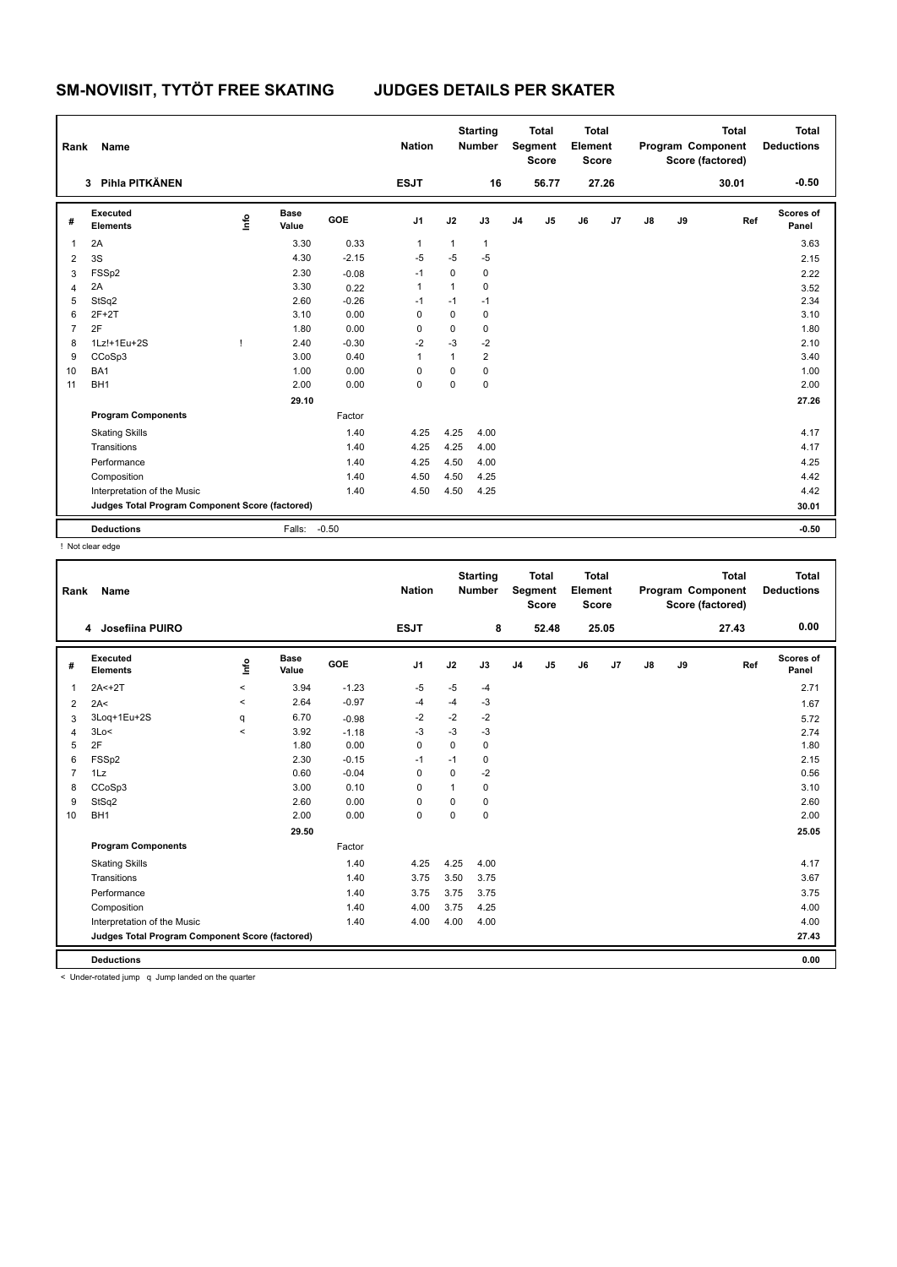| Rank           | Name                                            |      |                      |            | <b>Nation</b> |              | <b>Starting</b><br><b>Number</b> |                | <b>Total</b><br>Segment<br><b>Score</b> | <b>Total</b><br>Element<br><b>Score</b> |       |               |    | <b>Total</b><br>Program Component<br>Score (factored) | <b>Total</b><br><b>Deductions</b> |
|----------------|-------------------------------------------------|------|----------------------|------------|---------------|--------------|----------------------------------|----------------|-----------------------------------------|-----------------------------------------|-------|---------------|----|-------------------------------------------------------|-----------------------------------|
|                | 3 Pihla PITKÄNEN                                |      |                      |            | <b>ESJT</b>   |              | 16                               |                | 56.77                                   |                                         | 27.26 |               |    | 30.01                                                 | $-0.50$                           |
| #              | Executed<br><b>Elements</b>                     | lnfo | <b>Base</b><br>Value | <b>GOE</b> | J1            | J2           | J3                               | J <sub>4</sub> | J <sub>5</sub>                          | J6                                      | J7    | $\mathsf{J}8$ | J9 | Ref                                                   | Scores of<br>Panel                |
| 1              | 2A                                              |      | 3.30                 | 0.33       | 1             | $\mathbf{1}$ | $\mathbf{1}$                     |                |                                         |                                         |       |               |    |                                                       | 3.63                              |
| 2              | 3S                                              |      | 4.30                 | $-2.15$    | $-5$          | $-5$         | $-5$                             |                |                                         |                                         |       |               |    |                                                       | 2.15                              |
| 3              | FSSp2                                           |      | 2.30                 | $-0.08$    | $-1$          | $\mathbf 0$  | $\pmb{0}$                        |                |                                         |                                         |       |               |    |                                                       | 2.22                              |
| 4              | 2A                                              |      | 3.30                 | 0.22       | 1             | $\mathbf{1}$ | $\mathbf 0$                      |                |                                         |                                         |       |               |    |                                                       | 3.52                              |
| 5              | StSq2                                           |      | 2.60                 | $-0.26$    | $-1$          | $-1$         | $-1$                             |                |                                         |                                         |       |               |    |                                                       | 2.34                              |
| 6              | $2F+2T$                                         |      | 3.10                 | 0.00       | 0             | 0            | 0                                |                |                                         |                                         |       |               |    |                                                       | 3.10                              |
| $\overline{7}$ | 2F                                              |      | 1.80                 | 0.00       | 0             | 0            | 0                                |                |                                         |                                         |       |               |    |                                                       | 1.80                              |
| 8              | 1Lz!+1Eu+2S                                     | т    | 2.40                 | $-0.30$    | $-2$          | $-3$         | $-2$                             |                |                                         |                                         |       |               |    |                                                       | 2.10                              |
| 9              | CCoSp3                                          |      | 3.00                 | 0.40       | 1             | 1            | $\overline{2}$                   |                |                                         |                                         |       |               |    |                                                       | 3.40                              |
| 10             | BA1                                             |      | 1.00                 | 0.00       | 0             | 0            | 0                                |                |                                         |                                         |       |               |    |                                                       | 1.00                              |
| 11             | BH <sub>1</sub>                                 |      | 2.00                 | 0.00       | 0             | 0            | 0                                |                |                                         |                                         |       |               |    |                                                       | 2.00                              |
|                |                                                 |      | 29.10                |            |               |              |                                  |                |                                         |                                         |       |               |    |                                                       | 27.26                             |
|                | <b>Program Components</b>                       |      |                      | Factor     |               |              |                                  |                |                                         |                                         |       |               |    |                                                       |                                   |
|                | <b>Skating Skills</b>                           |      |                      | 1.40       | 4.25          | 4.25         | 4.00                             |                |                                         |                                         |       |               |    |                                                       | 4.17                              |
|                | Transitions                                     |      |                      | 1.40       | 4.25          | 4.25         | 4.00                             |                |                                         |                                         |       |               |    |                                                       | 4.17                              |
|                | Performance                                     |      |                      | 1.40       | 4.25          | 4.50         | 4.00                             |                |                                         |                                         |       |               |    |                                                       | 4.25                              |
|                | Composition                                     |      |                      | 1.40       | 4.50          | 4.50         | 4.25                             |                |                                         |                                         |       |               |    |                                                       | 4.42                              |
|                | Interpretation of the Music                     |      |                      | 1.40       | 4.50          | 4.50         | 4.25                             |                |                                         |                                         |       |               |    |                                                       | 4.42                              |
|                | Judges Total Program Component Score (factored) |      |                      |            |               |              |                                  |                |                                         |                                         |       |               |    |                                                       | 30.01                             |
|                | <b>Deductions</b>                               |      | Falls:               | $-0.50$    |               |              |                                  |                |                                         |                                         |       |               |    |                                                       | $-0.50$                           |

! Not clear edge

| Rank           | <b>Name</b>                                                                               |                          |                      |         | <b>Nation</b>  |             | <b>Starting</b><br><b>Number</b> |                | <b>Total</b><br>Segment<br><b>Score</b> | <b>Total</b><br>Element<br><b>Score</b> |       |    |    | <b>Total</b><br>Program Component<br>Score (factored) | Total<br><b>Deductions</b> |
|----------------|-------------------------------------------------------------------------------------------|--------------------------|----------------------|---------|----------------|-------------|----------------------------------|----------------|-----------------------------------------|-----------------------------------------|-------|----|----|-------------------------------------------------------|----------------------------|
|                | 4 Josefiina PUIRO                                                                         |                          |                      |         | <b>ESJT</b>    |             | 8                                |                | 52.48                                   |                                         | 25.05 |    |    | 27.43                                                 | 0.00                       |
| #              | Executed<br><b>Elements</b>                                                               | Info                     | <b>Base</b><br>Value | GOE     | J <sub>1</sub> | J2          | J3                               | J <sub>4</sub> | J <sub>5</sub>                          | J6                                      | J7    | J8 | J9 | Ref                                                   | <b>Scores of</b><br>Panel  |
| 1              | $2A < +2T$                                                                                | $\hat{}$                 | 3.94                 | $-1.23$ | -5             | $-5$        | $-4$                             |                |                                         |                                         |       |    |    |                                                       | 2.71                       |
| 2              | 2A<                                                                                       | $\hat{}$                 | 2.64                 | $-0.97$ | -4             | $-4$        | $-3$                             |                |                                         |                                         |       |    |    |                                                       | 1.67                       |
| 3              | 3Log+1Eu+2S                                                                               | q                        | 6.70                 | $-0.98$ | $-2$           | $-2$        | $-2$                             |                |                                         |                                         |       |    |    |                                                       | 5.72                       |
| 4              | 3Lo<                                                                                      | $\overline{\phantom{a}}$ | 3.92                 | $-1.18$ | $-3$           | $-3$        | $-3$                             |                |                                         |                                         |       |    |    |                                                       | 2.74                       |
| 5              | 2F                                                                                        |                          | 1.80                 | 0.00    | $\mathbf 0$    | 0           | 0                                |                |                                         |                                         |       |    |    |                                                       | 1.80                       |
| 6              | FSSp2                                                                                     |                          | 2.30                 | $-0.15$ | $-1$           | $-1$        | 0                                |                |                                         |                                         |       |    |    |                                                       | 2.15                       |
| $\overline{7}$ | 1Lz                                                                                       |                          | 0.60                 | $-0.04$ | $\mathbf 0$    | $\mathbf 0$ | $-2$                             |                |                                         |                                         |       |    |    |                                                       | 0.56                       |
| 8              | CCoSp3                                                                                    |                          | 3.00                 | 0.10    | 0              | 1           | 0                                |                |                                         |                                         |       |    |    |                                                       | 3.10                       |
| 9              | StSq2                                                                                     |                          | 2.60                 | 0.00    | 0              | $\mathbf 0$ | 0                                |                |                                         |                                         |       |    |    |                                                       | 2.60                       |
| 10             | BH <sub>1</sub>                                                                           |                          | 2.00                 | 0.00    | $\mathbf 0$    | 0           | 0                                |                |                                         |                                         |       |    |    |                                                       | 2.00                       |
|                |                                                                                           |                          | 29.50                |         |                |             |                                  |                |                                         |                                         |       |    |    |                                                       | 25.05                      |
|                | <b>Program Components</b>                                                                 |                          |                      | Factor  |                |             |                                  |                |                                         |                                         |       |    |    |                                                       |                            |
|                | <b>Skating Skills</b>                                                                     |                          |                      | 1.40    | 4.25           | 4.25        | 4.00                             |                |                                         |                                         |       |    |    |                                                       | 4.17                       |
|                | Transitions                                                                               |                          |                      | 1.40    | 3.75           | 3.50        | 3.75                             |                |                                         |                                         |       |    |    |                                                       | 3.67                       |
|                | Performance                                                                               |                          |                      | 1.40    | 3.75           | 3.75        | 3.75                             |                |                                         |                                         |       |    |    |                                                       | 3.75                       |
|                | Composition                                                                               |                          |                      | 1.40    | 4.00           | 3.75        | 4.25                             |                |                                         |                                         |       |    |    |                                                       | 4.00                       |
|                | Interpretation of the Music                                                               |                          |                      | 1.40    | 4.00           | 4.00        | 4.00                             |                |                                         |                                         |       |    |    |                                                       | 4.00                       |
|                | Judges Total Program Component Score (factored)                                           |                          |                      |         |                |             |                                  |                |                                         |                                         |       |    |    |                                                       | 27.43                      |
|                | <b>Deductions</b>                                                                         |                          |                      |         |                |             |                                  |                |                                         |                                         |       |    |    |                                                       | 0.00                       |
|                | and the state contribution of the contribution of the state of the state and contribution |                          |                      |         |                |             |                                  |                |                                         |                                         |       |    |    |                                                       |                            |

< Under-rotated jump q Jump landed on the quarter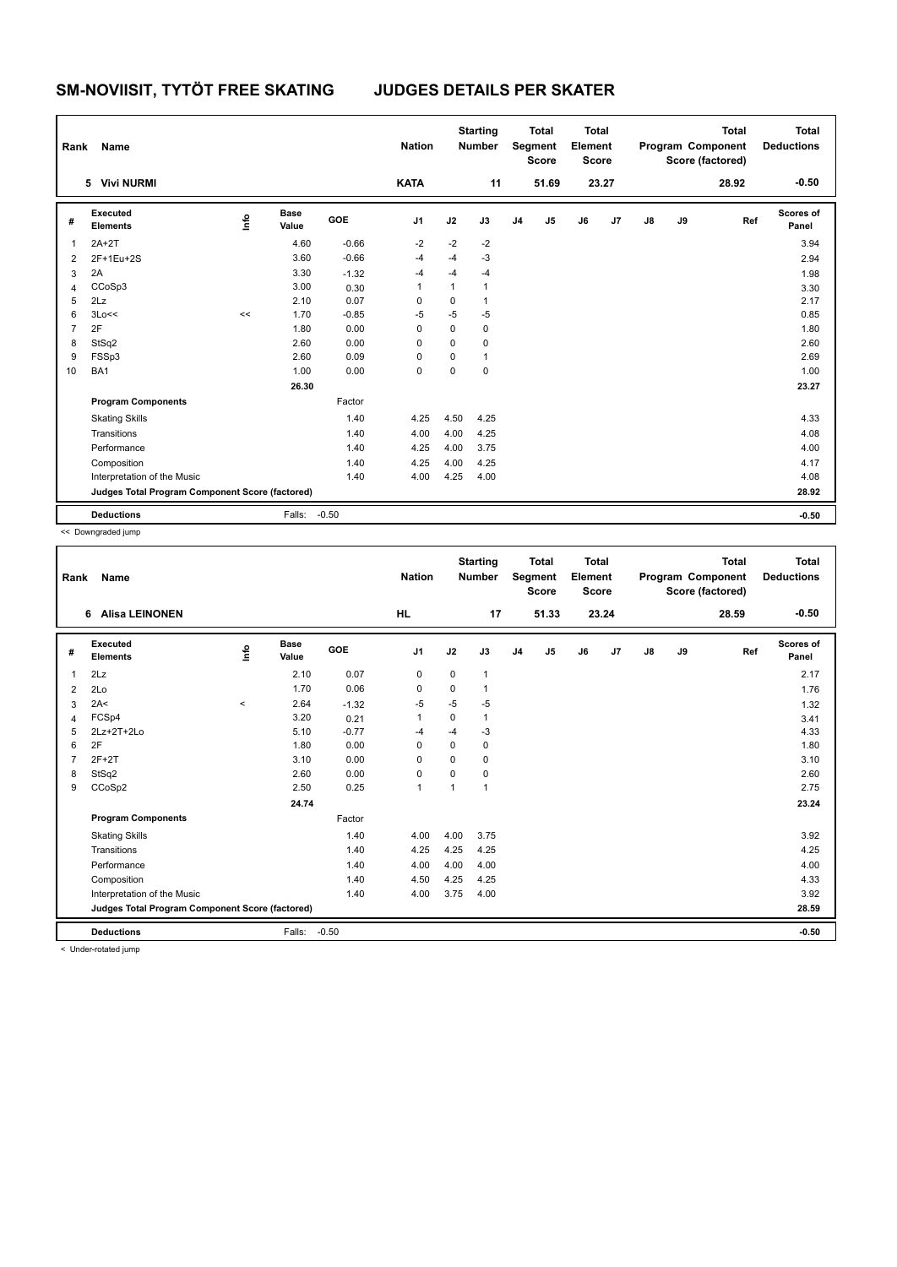| Rank           | Name                                            |      |                      |            | <b>Nation</b>  |      | <b>Starting</b><br><b>Number</b> |                | <b>Total</b><br>Segment<br><b>Score</b> | <b>Total</b><br>Element<br><b>Score</b> |       |               |    | <b>Total</b><br>Program Component<br>Score (factored) | <b>Total</b><br><b>Deductions</b> |
|----------------|-------------------------------------------------|------|----------------------|------------|----------------|------|----------------------------------|----------------|-----------------------------------------|-----------------------------------------|-------|---------------|----|-------------------------------------------------------|-----------------------------------|
|                | 5 Vivi NURMI                                    |      |                      |            | <b>KATA</b>    |      | 11                               |                | 51.69                                   |                                         | 23.27 |               |    | 28.92                                                 | $-0.50$                           |
| #              | <b>Executed</b><br><b>Elements</b>              | lnfo | <b>Base</b><br>Value | <b>GOE</b> | J <sub>1</sub> | J2   | J3                               | J <sub>4</sub> | J <sub>5</sub>                          | J6                                      | J7    | $\mathsf{J}8$ | J9 | Ref                                                   | Scores of<br>Panel                |
| 1              | $2A+2T$                                         |      | 4.60                 | $-0.66$    | $-2$           | $-2$ | $-2$                             |                |                                         |                                         |       |               |    |                                                       | 3.94                              |
| 2              | 2F+1Eu+2S                                       |      | 3.60                 | $-0.66$    | $-4$           | $-4$ | $-3$                             |                |                                         |                                         |       |               |    |                                                       | 2.94                              |
| 3              | 2A                                              |      | 3.30                 | $-1.32$    | $-4$           | $-4$ | $-4$                             |                |                                         |                                         |       |               |    |                                                       | 1.98                              |
| 4              | CCoSp3                                          |      | 3.00                 | 0.30       | 1              | 1    | $\mathbf{1}$                     |                |                                         |                                         |       |               |    |                                                       | 3.30                              |
| 5              | 2Lz                                             |      | 2.10                 | 0.07       | 0              | 0    | $\mathbf{1}$                     |                |                                         |                                         |       |               |    |                                                       | 2.17                              |
| 6              | 3Lo<<                                           | <<   | 1.70                 | $-0.85$    | $-5$           | $-5$ | $-5$                             |                |                                         |                                         |       |               |    |                                                       | 0.85                              |
| $\overline{7}$ | 2F                                              |      | 1.80                 | 0.00       | 0              | 0    | $\mathbf 0$                      |                |                                         |                                         |       |               |    |                                                       | 1.80                              |
| 8              | StSq2                                           |      | 2.60                 | 0.00       | $\Omega$       | 0    | $\mathbf 0$                      |                |                                         |                                         |       |               |    |                                                       | 2.60                              |
| 9              | FSSp3                                           |      | 2.60                 | 0.09       | 0              | 0    | $\mathbf{1}$                     |                |                                         |                                         |       |               |    |                                                       | 2.69                              |
| 10             | BA1                                             |      | 1.00                 | 0.00       | $\mathbf 0$    | 0    | $\mathbf 0$                      |                |                                         |                                         |       |               |    |                                                       | 1.00                              |
|                |                                                 |      | 26.30                |            |                |      |                                  |                |                                         |                                         |       |               |    |                                                       | 23.27                             |
|                | <b>Program Components</b>                       |      |                      | Factor     |                |      |                                  |                |                                         |                                         |       |               |    |                                                       |                                   |
|                | <b>Skating Skills</b>                           |      |                      | 1.40       | 4.25           | 4.50 | 4.25                             |                |                                         |                                         |       |               |    |                                                       | 4.33                              |
|                | Transitions                                     |      |                      | 1.40       | 4.00           | 4.00 | 4.25                             |                |                                         |                                         |       |               |    |                                                       | 4.08                              |
|                | Performance                                     |      |                      | 1.40       | 4.25           | 4.00 | 3.75                             |                |                                         |                                         |       |               |    |                                                       | 4.00                              |
|                | Composition                                     |      |                      | 1.40       | 4.25           | 4.00 | 4.25                             |                |                                         |                                         |       |               |    |                                                       | 4.17                              |
|                | Interpretation of the Music                     |      |                      | 1.40       | 4.00           | 4.25 | 4.00                             |                |                                         |                                         |       |               |    |                                                       | 4.08                              |
|                | Judges Total Program Component Score (factored) |      |                      |            |                |      |                                  |                |                                         |                                         |       |               |    |                                                       | 28.92                             |
|                | <b>Deductions</b>                               |      | Falls:               | $-0.50$    |                |      |                                  |                |                                         |                                         |       |               |    |                                                       | $-0.50$                           |

<< Downgraded jump

| Rank         | <b>Name</b>                                     |          |                      |            | <b>Nation</b>  |              | <b>Starting</b><br><b>Number</b> |                | <b>Total</b><br>Segment<br><b>Score</b> | <b>Total</b><br>Element<br><b>Score</b> |       |               |    | <b>Total</b><br>Program Component<br>Score (factored) | <b>Total</b><br><b>Deductions</b> |
|--------------|-------------------------------------------------|----------|----------------------|------------|----------------|--------------|----------------------------------|----------------|-----------------------------------------|-----------------------------------------|-------|---------------|----|-------------------------------------------------------|-----------------------------------|
|              | 6 Alisa LEINONEN                                |          |                      |            | <b>HL</b>      |              | 17                               |                | 51.33                                   |                                         | 23.24 |               |    | 28.59                                                 | $-0.50$                           |
| #            | Executed<br><b>Elements</b>                     | ١nfo     | <b>Base</b><br>Value | <b>GOE</b> | J <sub>1</sub> | J2           | J3                               | J <sub>4</sub> | J5                                      | J6                                      | J7    | $\mathsf{J}8$ | J9 | Ref                                                   | Scores of<br>Panel                |
| $\mathbf{1}$ | 2Lz                                             |          | 2.10                 | 0.07       | 0              | $\mathbf 0$  | 1                                |                |                                         |                                         |       |               |    |                                                       | 2.17                              |
| 2            | 2Lo                                             |          | 1.70                 | 0.06       | 0              | 0            | 1                                |                |                                         |                                         |       |               |    |                                                       | 1.76                              |
| 3            | 2A<                                             | $\hat{}$ | 2.64                 | $-1.32$    | $-5$           | $-5$         | $-5$                             |                |                                         |                                         |       |               |    |                                                       | 1.32                              |
| 4            | FCSp4                                           |          | 3.20                 | 0.21       | $\overline{1}$ | 0            | 1                                |                |                                         |                                         |       |               |    |                                                       | 3.41                              |
| 5            | 2Lz+2T+2Lo                                      |          | 5.10                 | $-0.77$    | -4             | $-4$         | $-3$                             |                |                                         |                                         |       |               |    |                                                       | 4.33                              |
| 6            | 2F                                              |          | 1.80                 | 0.00       | $\Omega$       | $\Omega$     | 0                                |                |                                         |                                         |       |               |    |                                                       | 1.80                              |
|              | $2F+2T$                                         |          | 3.10                 | 0.00       | $\Omega$       | $\mathbf 0$  | 0                                |                |                                         |                                         |       |               |    |                                                       | 3.10                              |
| 8            | StSq2                                           |          | 2.60                 | 0.00       | $\mathbf 0$    | $\mathbf 0$  | 0                                |                |                                         |                                         |       |               |    |                                                       | 2.60                              |
| 9            | CCoSp2                                          |          | 2.50                 | 0.25       | $\mathbf{1}$   | $\mathbf{1}$ | $\mathbf{1}$                     |                |                                         |                                         |       |               |    |                                                       | 2.75                              |
|              |                                                 |          | 24.74                |            |                |              |                                  |                |                                         |                                         |       |               |    |                                                       | 23.24                             |
|              | <b>Program Components</b>                       |          |                      | Factor     |                |              |                                  |                |                                         |                                         |       |               |    |                                                       |                                   |
|              | <b>Skating Skills</b>                           |          |                      | 1.40       | 4.00           | 4.00         | 3.75                             |                |                                         |                                         |       |               |    |                                                       | 3.92                              |
|              | Transitions                                     |          |                      | 1.40       | 4.25           | 4.25         | 4.25                             |                |                                         |                                         |       |               |    |                                                       | 4.25                              |
|              | Performance                                     |          |                      | 1.40       | 4.00           | 4.00         | 4.00                             |                |                                         |                                         |       |               |    |                                                       | 4.00                              |
|              | Composition                                     |          |                      | 1.40       | 4.50           | 4.25         | 4.25                             |                |                                         |                                         |       |               |    |                                                       | 4.33                              |
|              | Interpretation of the Music                     |          |                      | 1.40       | 4.00           | 3.75         | 4.00                             |                |                                         |                                         |       |               |    |                                                       | 3.92                              |
|              | Judges Total Program Component Score (factored) |          |                      |            |                |              |                                  |                |                                         |                                         |       |               |    |                                                       | 28.59                             |
|              | <b>Deductions</b>                               |          | Falls:               | $-0.50$    |                |              |                                  |                |                                         |                                         |       |               |    |                                                       | $-0.50$                           |
|              | and the stress products of figures              |          |                      |            |                |              |                                  |                |                                         |                                         |       |               |    |                                                       |                                   |

< Under-rotated jump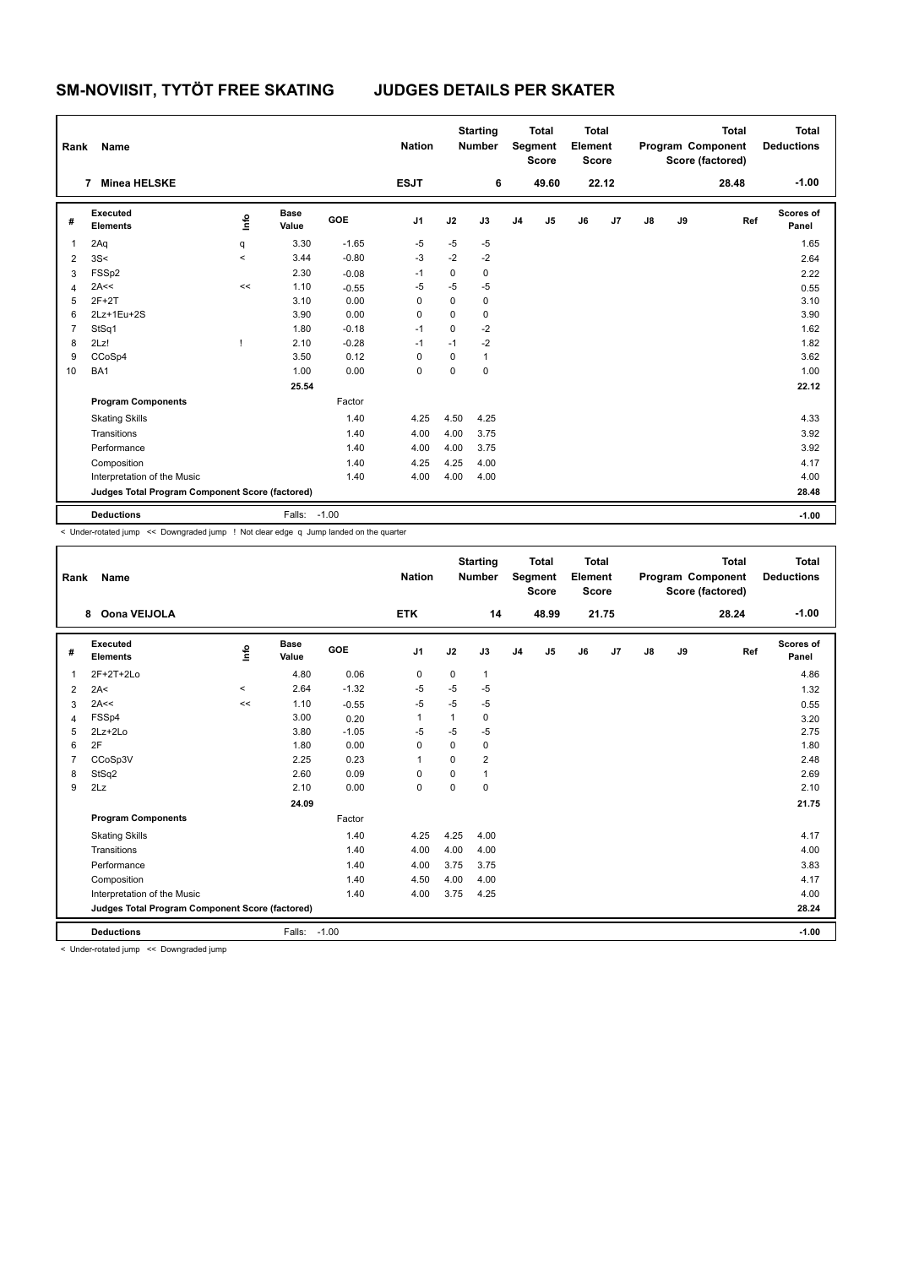| Rank           | Name                                            |                                  |                      |            | <b>Nation</b>  |          | <b>Starting</b><br><b>Number</b> |                | <b>Total</b><br>Segment<br><b>Score</b> | <b>Total</b><br>Element<br><b>Score</b> |       |               |    | <b>Total</b><br>Program Component<br>Score (factored) | <b>Total</b><br><b>Deductions</b> |
|----------------|-------------------------------------------------|----------------------------------|----------------------|------------|----------------|----------|----------------------------------|----------------|-----------------------------------------|-----------------------------------------|-------|---------------|----|-------------------------------------------------------|-----------------------------------|
|                | <b>Minea HELSKE</b><br>7                        |                                  |                      |            | <b>ESJT</b>    |          | 6                                |                | 49.60                                   |                                         | 22.12 |               |    | 28.48                                                 | $-1.00$                           |
| #              | Executed<br><b>Elements</b>                     | $\mathop{\mathsf{Irr}}\nolimits$ | <b>Base</b><br>Value | <b>GOE</b> | J <sub>1</sub> | J2       | J3                               | J <sub>4</sub> | J <sub>5</sub>                          | J6                                      | J7    | $\mathsf{J}8$ | J9 | Ref                                                   | Scores of<br>Panel                |
| 1              | 2Aq                                             | q                                | 3.30                 | $-1.65$    | $-5$           | $-5$     | $-5$                             |                |                                         |                                         |       |               |    |                                                       | 1.65                              |
| $\overline{2}$ | 3S<                                             | $\overline{\phantom{a}}$         | 3.44                 | $-0.80$    | $-3$           | $-2$     | $-2$                             |                |                                         |                                         |       |               |    |                                                       | 2.64                              |
| 3              | FSSp2                                           |                                  | 2.30                 | $-0.08$    | $-1$           | 0        | $\mathbf 0$                      |                |                                         |                                         |       |               |    |                                                       | 2.22                              |
| 4              | 2A<<                                            | <<                               | 1.10                 | $-0.55$    | $-5$           | $-5$     | $-5$                             |                |                                         |                                         |       |               |    |                                                       | 0.55                              |
| 5              | $2F+2T$                                         |                                  | 3.10                 | 0.00       | $\Omega$       | 0        | 0                                |                |                                         |                                         |       |               |    |                                                       | 3.10                              |
| 6              | 2Lz+1Eu+2S                                      |                                  | 3.90                 | 0.00       | 0              | $\Omega$ | $\mathbf 0$                      |                |                                         |                                         |       |               |    |                                                       | 3.90                              |
| $\overline{7}$ | StSq1                                           |                                  | 1.80                 | $-0.18$    | $-1$           | $\Omega$ | $-2$                             |                |                                         |                                         |       |               |    |                                                       | 1.62                              |
| 8              | 2Lz!                                            |                                  | 2.10                 | $-0.28$    | $-1$           | $-1$     | $-2$                             |                |                                         |                                         |       |               |    |                                                       | 1.82                              |
| 9              | CCoSp4                                          |                                  | 3.50                 | 0.12       | 0              | 0        | $\mathbf{1}$                     |                |                                         |                                         |       |               |    |                                                       | 3.62                              |
| 10             | BA1                                             |                                  | 1.00                 | 0.00       | $\mathbf 0$    | 0        | $\mathbf 0$                      |                |                                         |                                         |       |               |    |                                                       | 1.00                              |
|                |                                                 |                                  | 25.54                |            |                |          |                                  |                |                                         |                                         |       |               |    |                                                       | 22.12                             |
|                | <b>Program Components</b>                       |                                  |                      | Factor     |                |          |                                  |                |                                         |                                         |       |               |    |                                                       |                                   |
|                | <b>Skating Skills</b>                           |                                  |                      | 1.40       | 4.25           | 4.50     | 4.25                             |                |                                         |                                         |       |               |    |                                                       | 4.33                              |
|                | Transitions                                     |                                  |                      | 1.40       | 4.00           | 4.00     | 3.75                             |                |                                         |                                         |       |               |    |                                                       | 3.92                              |
|                | Performance                                     |                                  |                      | 1.40       | 4.00           | 4.00     | 3.75                             |                |                                         |                                         |       |               |    |                                                       | 3.92                              |
|                | Composition                                     |                                  |                      | 1.40       | 4.25           | 4.25     | 4.00                             |                |                                         |                                         |       |               |    |                                                       | 4.17                              |
|                | Interpretation of the Music                     |                                  |                      | 1.40       | 4.00           | 4.00     | 4.00                             |                |                                         |                                         |       |               |    |                                                       | 4.00                              |
|                | Judges Total Program Component Score (factored) |                                  |                      |            |                |          |                                  |                |                                         |                                         |       |               |    |                                                       | 28.48                             |
|                | <b>Deductions</b>                               |                                  | Falls: -1.00         |            |                |          |                                  |                |                                         |                                         |       |               |    |                                                       | $-1.00$                           |

< Under-rotated jump << Downgraded jump ! Not clear edge q Jump landed on the quarter

| Rank           | Name                                            |         |                      |         | <b>Nation</b>  |             | <b>Starting</b><br><b>Number</b> |                | <b>Total</b><br>Segment<br><b>Score</b> | <b>Total</b><br>Element<br><b>Score</b> |       |               |    | <b>Total</b><br>Program Component<br>Score (factored) | <b>Total</b><br><b>Deductions</b> |
|----------------|-------------------------------------------------|---------|----------------------|---------|----------------|-------------|----------------------------------|----------------|-----------------------------------------|-----------------------------------------|-------|---------------|----|-------------------------------------------------------|-----------------------------------|
|                | Oona VEIJOLA<br>8                               |         |                      |         | <b>ETK</b>     |             | 14                               |                | 48.99                                   |                                         | 21.75 |               |    | 28.24                                                 | $-1.00$                           |
| #              | Executed<br><b>Elements</b>                     | ١nfo    | <b>Base</b><br>Value | GOE     | J <sub>1</sub> | J2          | J3                               | J <sub>4</sub> | J5                                      | J6                                      | J7    | $\mathsf{J}8$ | J9 | Ref                                                   | <b>Scores of</b><br>Panel         |
| 1              | $2F+2T+2Lo$                                     |         | 4.80                 | 0.06    | $\mathbf 0$    | $\mathbf 0$ | 1                                |                |                                         |                                         |       |               |    |                                                       | 4.86                              |
| 2              | 2A<                                             | $\prec$ | 2.64                 | $-1.32$ | $-5$           | $-5$        | $-5$                             |                |                                         |                                         |       |               |    |                                                       | 1.32                              |
| 3              | 2A<<                                            | <<      | 1.10                 | $-0.55$ | $-5$           | $-5$        | $-5$                             |                |                                         |                                         |       |               |    |                                                       | 0.55                              |
| 4              | FSSp4                                           |         | 3.00                 | 0.20    | 1              | 1           | 0                                |                |                                         |                                         |       |               |    |                                                       | 3.20                              |
| 5              | 2Lz+2Lo                                         |         | 3.80                 | $-1.05$ | -5             | $-5$        | $-5$                             |                |                                         |                                         |       |               |    |                                                       | 2.75                              |
| 6              | 2F                                              |         | 1.80                 | 0.00    | $\Omega$       | 0           | 0                                |                |                                         |                                         |       |               |    |                                                       | 1.80                              |
| $\overline{7}$ | CCoSp3V                                         |         | 2.25                 | 0.23    | 1              | $\Omega$    | $\overline{2}$                   |                |                                         |                                         |       |               |    |                                                       | 2.48                              |
| 8              | StSq2                                           |         | 2.60                 | 0.09    | $\mathbf 0$    | $\Omega$    | 1                                |                |                                         |                                         |       |               |    |                                                       | 2.69                              |
| 9              | 2Lz                                             |         | 2.10                 | 0.00    | $\mathbf 0$    | 0           | 0                                |                |                                         |                                         |       |               |    |                                                       | 2.10                              |
|                |                                                 |         | 24.09                |         |                |             |                                  |                |                                         |                                         |       |               |    |                                                       | 21.75                             |
|                | <b>Program Components</b>                       |         |                      | Factor  |                |             |                                  |                |                                         |                                         |       |               |    |                                                       |                                   |
|                | <b>Skating Skills</b>                           |         |                      | 1.40    | 4.25           | 4.25        | 4.00                             |                |                                         |                                         |       |               |    |                                                       | 4.17                              |
|                | Transitions                                     |         |                      | 1.40    | 4.00           | 4.00        | 4.00                             |                |                                         |                                         |       |               |    |                                                       | 4.00                              |
|                | Performance                                     |         |                      | 1.40    | 4.00           | 3.75        | 3.75                             |                |                                         |                                         |       |               |    |                                                       | 3.83                              |
|                | Composition                                     |         |                      | 1.40    | 4.50           | 4.00        | 4.00                             |                |                                         |                                         |       |               |    |                                                       | 4.17                              |
|                | Interpretation of the Music                     |         |                      | 1.40    | 4.00           | 3.75        | 4.25                             |                |                                         |                                         |       |               |    |                                                       | 4.00                              |
|                | Judges Total Program Component Score (factored) |         |                      |         |                |             |                                  |                |                                         |                                         |       |               |    |                                                       | 28.24                             |
|                | <b>Deductions</b>                               |         | Falls: -1.00         |         |                |             |                                  |                |                                         |                                         |       |               |    |                                                       | $-1.00$                           |
|                | a Heder retated irons and Deumoraded irons      |         |                      |         |                |             |                                  |                |                                         |                                         |       |               |    |                                                       |                                   |

< Under-rotated jump << Downgraded jump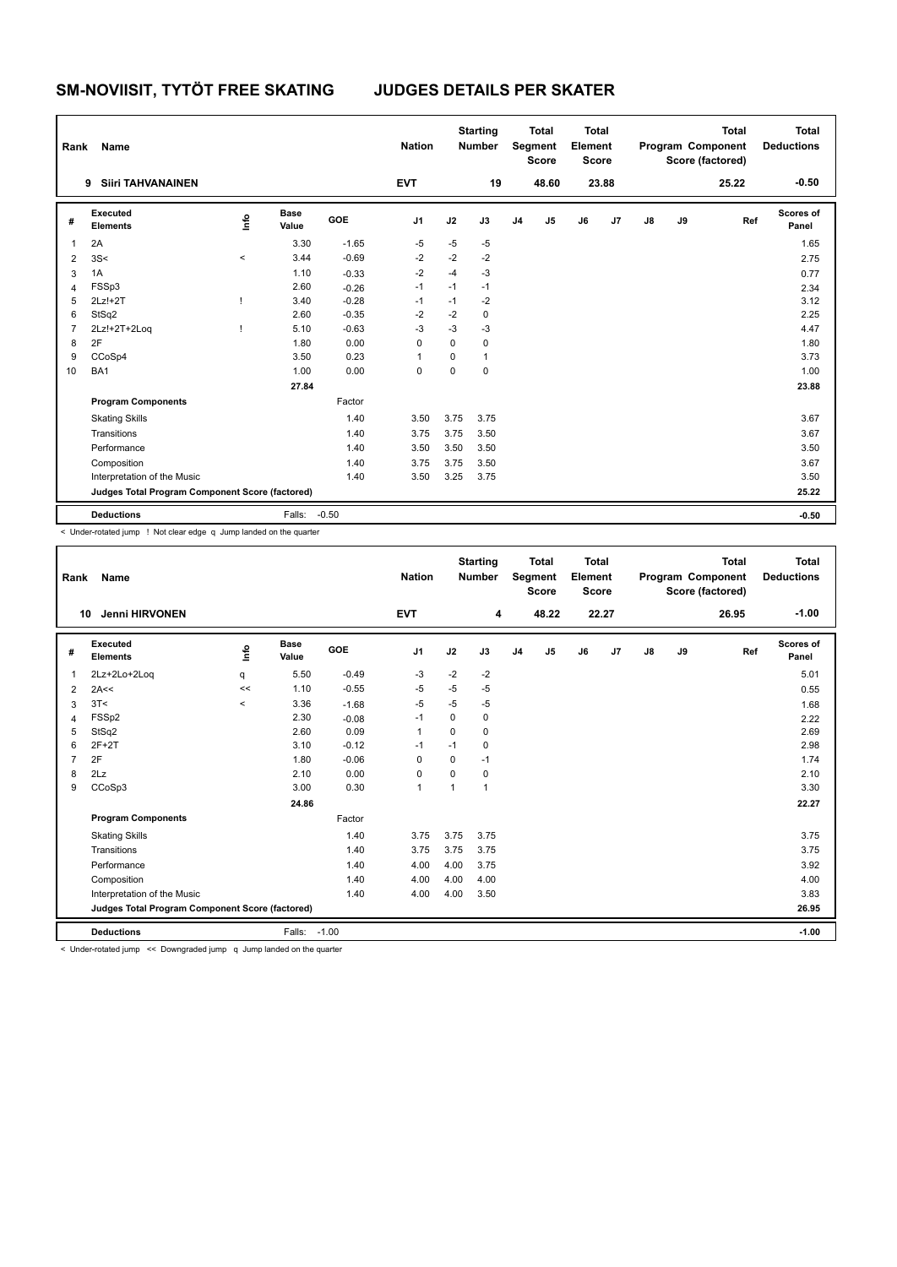| Rank           | Name                                            |       |                      |            | <b>Nation</b>  |          | <b>Starting</b><br><b>Number</b> |                | <b>Total</b><br>Segment<br><b>Score</b> | <b>Total</b><br>Element<br><b>Score</b> |       |    |    | <b>Total</b><br>Program Component<br>Score (factored) | <b>Total</b><br><b>Deductions</b> |
|----------------|-------------------------------------------------|-------|----------------------|------------|----------------|----------|----------------------------------|----------------|-----------------------------------------|-----------------------------------------|-------|----|----|-------------------------------------------------------|-----------------------------------|
|                | <b>Siiri TAHVANAINEN</b><br>9                   |       |                      |            | <b>EVT</b>     |          | 19                               |                | 48.60                                   |                                         | 23.88 |    |    | 25.22                                                 | $-0.50$                           |
| #              | Executed<br><b>Elements</b>                     | ١m    | <b>Base</b><br>Value | <b>GOE</b> | J <sub>1</sub> | J2       | J3                               | J <sub>4</sub> | J <sub>5</sub>                          | J6                                      | J7    | J8 | J9 | Ref                                                   | Scores of<br>Panel                |
| $\overline{1}$ | 2A                                              |       | 3.30                 | $-1.65$    | $-5$           | $-5$     | $-5$                             |                |                                         |                                         |       |    |    |                                                       | 1.65                              |
| $\overline{2}$ | 3S<                                             | $\,<$ | 3.44                 | $-0.69$    | $-2$           | $-2$     | -2                               |                |                                         |                                         |       |    |    |                                                       | 2.75                              |
| 3              | 1A                                              |       | 1.10                 | $-0.33$    | $-2$           | $-4$     | $-3$                             |                |                                         |                                         |       |    |    |                                                       | 0.77                              |
| $\overline{4}$ | FSSp3                                           |       | 2.60                 | $-0.26$    | $-1$           | $-1$     | $-1$                             |                |                                         |                                         |       |    |    |                                                       | 2.34                              |
| 5              | $2Lz!+2T$                                       |       | 3.40                 | $-0.28$    | $-1$           | $-1$     | $-2$                             |                |                                         |                                         |       |    |    |                                                       | 3.12                              |
| 6              | StSq2                                           |       | 2.60                 | $-0.35$    | $-2$           | $-2$     | $\mathbf 0$                      |                |                                         |                                         |       |    |    |                                                       | 2.25                              |
| $\overline{7}$ | 2Lz!+2T+2Log                                    |       | 5.10                 | $-0.63$    | $-3$           | $-3$     | $-3$                             |                |                                         |                                         |       |    |    |                                                       | 4.47                              |
| 8              | 2F                                              |       | 1.80                 | 0.00       | $\Omega$       | $\Omega$ | $\mathbf 0$                      |                |                                         |                                         |       |    |    |                                                       | 1.80                              |
| 9              | CCoSp4                                          |       | 3.50                 | 0.23       | 1              | $\Omega$ | $\mathbf{1}$                     |                |                                         |                                         |       |    |    |                                                       | 3.73                              |
| 10             | BA1                                             |       | 1.00                 | 0.00       | $\mathbf 0$    | 0        | $\mathbf 0$                      |                |                                         |                                         |       |    |    |                                                       | 1.00                              |
|                |                                                 |       | 27.84                |            |                |          |                                  |                |                                         |                                         |       |    |    |                                                       | 23.88                             |
|                | <b>Program Components</b>                       |       |                      | Factor     |                |          |                                  |                |                                         |                                         |       |    |    |                                                       |                                   |
|                | <b>Skating Skills</b>                           |       |                      | 1.40       | 3.50           | 3.75     | 3.75                             |                |                                         |                                         |       |    |    |                                                       | 3.67                              |
|                | Transitions                                     |       |                      | 1.40       | 3.75           | 3.75     | 3.50                             |                |                                         |                                         |       |    |    |                                                       | 3.67                              |
|                | Performance                                     |       |                      | 1.40       | 3.50           | 3.50     | 3.50                             |                |                                         |                                         |       |    |    |                                                       | 3.50                              |
|                | Composition                                     |       |                      | 1.40       | 3.75           | 3.75     | 3.50                             |                |                                         |                                         |       |    |    |                                                       | 3.67                              |
|                | Interpretation of the Music                     |       |                      | 1.40       | 3.50           | 3.25     | 3.75                             |                |                                         |                                         |       |    |    |                                                       | 3.50                              |
|                | Judges Total Program Component Score (factored) |       |                      |            |                |          |                                  |                |                                         |                                         |       |    |    |                                                       | 25.22                             |
|                | <b>Deductions</b>                               |       | Falls:               | $-0.50$    |                |          |                                  |                |                                         |                                         |       |    |    |                                                       | $-0.50$                           |

< Under-rotated jump ! Not clear edge q Jump landed on the quarter

| Rank | <b>Name</b>                                                                 |          |                      |         | <b>Nation</b>  |          | <b>Starting</b><br><b>Number</b> |                | <b>Total</b><br>Segment<br><b>Score</b> | Total<br>Element<br><b>Score</b> |       |               |    | <b>Total</b><br>Program Component<br>Score (factored) | <b>Total</b><br><b>Deductions</b> |
|------|-----------------------------------------------------------------------------|----------|----------------------|---------|----------------|----------|----------------------------------|----------------|-----------------------------------------|----------------------------------|-------|---------------|----|-------------------------------------------------------|-----------------------------------|
| 10   | <b>Jenni HIRVONEN</b>                                                       |          |                      |         | <b>EVT</b>     |          | 4                                |                | 48.22                                   |                                  | 22.27 |               |    | 26.95                                                 | $-1.00$                           |
| #    | Executed<br><b>Elements</b>                                                 | ١nf٥     | <b>Base</b><br>Value | GOE     | J <sub>1</sub> | J2       | J3                               | J <sub>4</sub> | J5                                      | J6                               | J7    | $\mathsf{J}8$ | J9 | Ref                                                   | Scores of<br>Panel                |
| 1    | 2Lz+2Lo+2Loq                                                                | q        | 5.50                 | $-0.49$ | -3             | $-2$     | $-2$                             |                |                                         |                                  |       |               |    |                                                       | 5.01                              |
| 2    | 2A<<                                                                        | <<       | 1.10                 | $-0.55$ | $-5$           | -5       | $-5$                             |                |                                         |                                  |       |               |    |                                                       | 0.55                              |
| 3    | 3T<                                                                         | $\hat{}$ | 3.36                 | $-1.68$ | -5             | $-5$     | $-5$                             |                |                                         |                                  |       |               |    |                                                       | 1.68                              |
| 4    | FSSp2                                                                       |          | 2.30                 | $-0.08$ | $-1$           | 0        | 0                                |                |                                         |                                  |       |               |    |                                                       | 2.22                              |
| 5    | StSq2                                                                       |          | 2.60                 | 0.09    | $\mathbf{1}$   | $\Omega$ | 0                                |                |                                         |                                  |       |               |    |                                                       | 2.69                              |
| 6    | $2F+2T$                                                                     |          | 3.10                 | $-0.12$ | $-1$           | $-1$     | 0                                |                |                                         |                                  |       |               |    |                                                       | 2.98                              |
| 7    | 2F                                                                          |          | 1.80                 | $-0.06$ | 0              | 0        | $-1$                             |                |                                         |                                  |       |               |    |                                                       | 1.74                              |
| 8    | 2Lz                                                                         |          | 2.10                 | 0.00    | 0              | $\Omega$ | 0                                |                |                                         |                                  |       |               |    |                                                       | 2.10                              |
| 9    | CCoSp3                                                                      |          | 3.00                 | 0.30    | $\mathbf{1}$   | 1        | 1                                |                |                                         |                                  |       |               |    |                                                       | 3.30                              |
|      |                                                                             |          | 24.86                |         |                |          |                                  |                |                                         |                                  |       |               |    |                                                       | 22.27                             |
|      | <b>Program Components</b>                                                   |          |                      | Factor  |                |          |                                  |                |                                         |                                  |       |               |    |                                                       |                                   |
|      | <b>Skating Skills</b>                                                       |          |                      | 1.40    | 3.75           | 3.75     | 3.75                             |                |                                         |                                  |       |               |    |                                                       | 3.75                              |
|      | Transitions                                                                 |          |                      | 1.40    | 3.75           | 3.75     | 3.75                             |                |                                         |                                  |       |               |    |                                                       | 3.75                              |
|      | Performance                                                                 |          |                      | 1.40    | 4.00           | 4.00     | 3.75                             |                |                                         |                                  |       |               |    |                                                       | 3.92                              |
|      | Composition                                                                 |          |                      | 1.40    | 4.00           | 4.00     | 4.00                             |                |                                         |                                  |       |               |    |                                                       | 4.00                              |
|      | Interpretation of the Music                                                 |          |                      | 1.40    | 4.00           | 4.00     | 3.50                             |                |                                         |                                  |       |               |    |                                                       | 3.83                              |
|      | Judges Total Program Component Score (factored)                             |          |                      |         |                |          |                                  |                |                                         |                                  |       |               |    |                                                       | 26.95                             |
|      | <b>Deductions</b>                                                           |          | Falls: -1.00         |         |                |          |                                  |                |                                         |                                  |       |               |    |                                                       | $-1.00$                           |
|      | a Hudar ratetal innus, and Darmaradad innus, a chinan landad an tha growter |          |                      |         |                |          |                                  |                |                                         |                                  |       |               |    |                                                       |                                   |

< Under-rotated jump << Downgraded jump q Jump landed on the quarter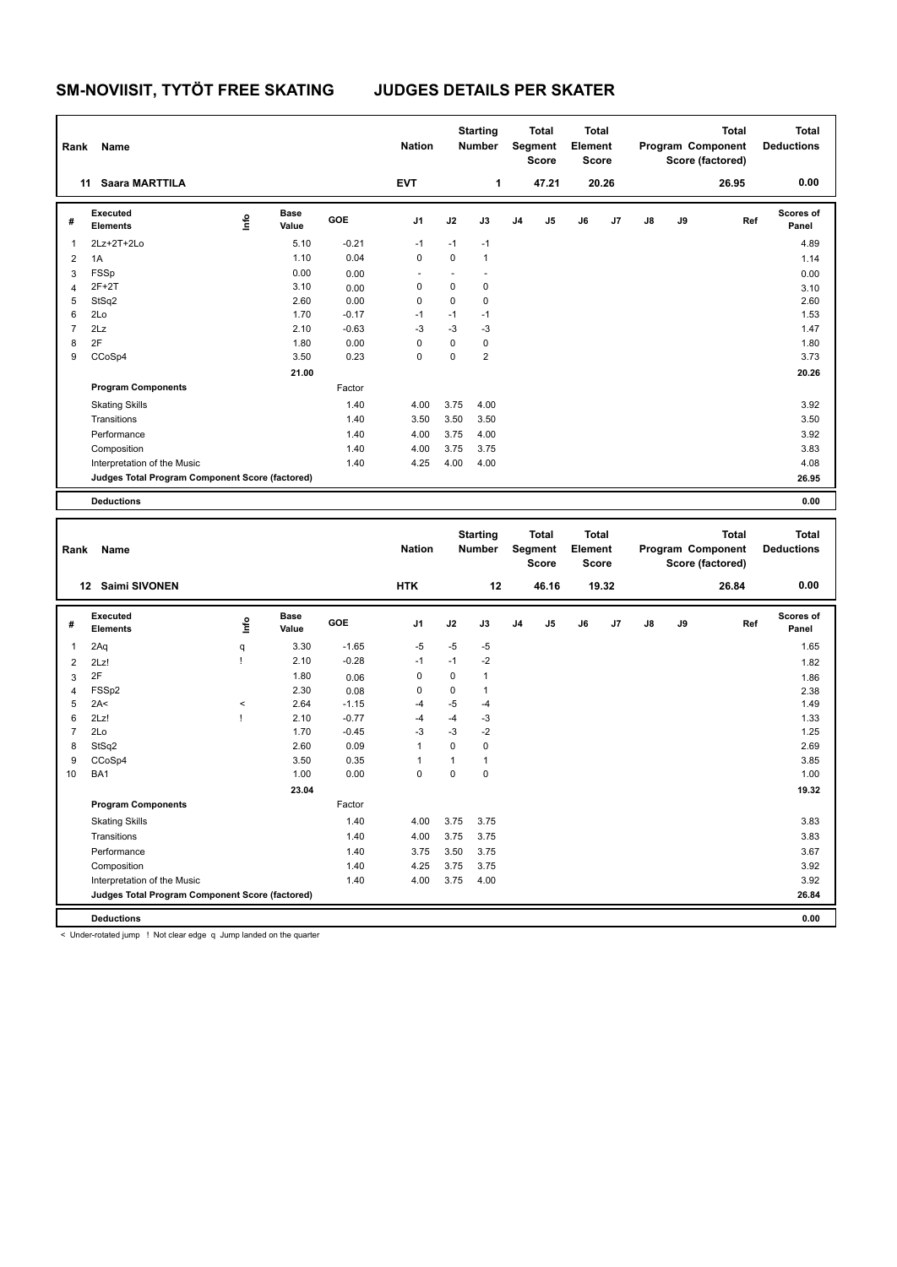| Rank           | Name                                            |      |                      |         | <b>Nation</b>  |      | <b>Starting</b><br><b>Number</b> |                | <b>Total</b><br>Segment<br><b>Score</b> | <b>Total</b><br>Element<br><b>Score</b> |       |               |    | <b>Total</b><br>Program Component<br>Score (factored) | <b>Total</b><br><b>Deductions</b> |
|----------------|-------------------------------------------------|------|----------------------|---------|----------------|------|----------------------------------|----------------|-----------------------------------------|-----------------------------------------|-------|---------------|----|-------------------------------------------------------|-----------------------------------|
|                | Saara MARTTILA<br>11                            |      |                      |         | <b>EVT</b>     |      | 1                                |                | 47.21                                   |                                         | 20.26 |               |    | 26.95                                                 | 0.00                              |
| #              | Executed<br><b>Elements</b>                     | ١mfo | <b>Base</b><br>Value | GOE     | J <sub>1</sub> | J2   | J3                               | J <sub>4</sub> | J5                                      | J6                                      | J7    | $\mathsf{J}8$ | J9 | Ref                                                   | <b>Scores of</b><br>Panel         |
| $\overline{1}$ | 2Lz+2T+2Lo                                      |      | 5.10                 | $-0.21$ | $-1$           | $-1$ | $-1$                             |                |                                         |                                         |       |               |    |                                                       | 4.89                              |
| $\overline{2}$ | 1A                                              |      | 1.10                 | 0.04    | 0              | 0    | $\mathbf{1}$                     |                |                                         |                                         |       |               |    |                                                       | 1.14                              |
| 3              | <b>FSSp</b>                                     |      | 0.00                 | 0.00    |                |      |                                  |                |                                         |                                         |       |               |    |                                                       | 0.00                              |
| $\overline{4}$ | $2F+2T$                                         |      | 3.10                 | 0.00    | 0              | 0    | 0                                |                |                                         |                                         |       |               |    |                                                       | 3.10                              |
| 5              | StSq2                                           |      | 2.60                 | 0.00    | 0              | 0    | 0                                |                |                                         |                                         |       |               |    |                                                       | 2.60                              |
| 6              | 2Lo                                             |      | 1.70                 | $-0.17$ | $-1$           | $-1$ | $-1$                             |                |                                         |                                         |       |               |    |                                                       | 1.53                              |
| $\overline{7}$ | 2Lz                                             |      | 2.10                 | $-0.63$ | $-3$           | $-3$ | -3                               |                |                                         |                                         |       |               |    |                                                       | 1.47                              |
| 8              | 2F                                              |      | 1.80                 | 0.00    | 0              | 0    | 0                                |                |                                         |                                         |       |               |    |                                                       | 1.80                              |
| 9              | CCoSp4                                          |      | 3.50                 | 0.23    | 0              | 0    | $\overline{2}$                   |                |                                         |                                         |       |               |    |                                                       | 3.73                              |
|                |                                                 |      | 21.00                |         |                |      |                                  |                |                                         |                                         |       |               |    |                                                       | 20.26                             |
|                | <b>Program Components</b>                       |      |                      | Factor  |                |      |                                  |                |                                         |                                         |       |               |    |                                                       |                                   |
|                | <b>Skating Skills</b>                           |      |                      | 1.40    | 4.00           | 3.75 | 4.00                             |                |                                         |                                         |       |               |    |                                                       | 3.92                              |
|                | Transitions                                     |      |                      | 1.40    | 3.50           | 3.50 | 3.50                             |                |                                         |                                         |       |               |    |                                                       | 3.50                              |
|                | Performance                                     |      |                      | 1.40    | 4.00           | 3.75 | 4.00                             |                |                                         |                                         |       |               |    |                                                       | 3.92                              |
|                | Composition                                     |      |                      | 1.40    | 4.00           | 3.75 | 3.75                             |                |                                         |                                         |       |               |    |                                                       | 3.83                              |
|                | Interpretation of the Music                     |      |                      | 1.40    | 4.25           | 4.00 | 4.00                             |                |                                         |                                         |       |               |    |                                                       | 4.08                              |
|                | Judges Total Program Component Score (factored) |      |                      |         |                |      |                                  |                |                                         |                                         |       |               |    |                                                       | 26.95                             |
|                | <b>Deductions</b>                               |      |                      |         |                |      |                                  |                |                                         |                                         |       |               |    |                                                       | 0.00                              |

| Rank           | Name                                            |          |                      |         | <b>Nation</b>  |             | <b>Starting</b><br><b>Number</b> |                | <b>Total</b><br>Segment<br><b>Score</b> | <b>Total</b><br>Element<br><b>Score</b> |       |               |    | <b>Total</b><br>Program Component<br>Score (factored) | <b>Total</b><br><b>Deductions</b> |
|----------------|-------------------------------------------------|----------|----------------------|---------|----------------|-------------|----------------------------------|----------------|-----------------------------------------|-----------------------------------------|-------|---------------|----|-------------------------------------------------------|-----------------------------------|
|                | <b>Saimi SIVONEN</b><br>12 <sup>12</sup>        |          |                      |         | <b>HTK</b>     |             | 12                               |                | 46.16                                   |                                         | 19.32 |               |    | 26.84                                                 | 0.00                              |
| #              | Executed<br><b>Elements</b>                     | ١nf٥     | <b>Base</b><br>Value | GOE     | J1             | J2          | J3                               | J <sub>4</sub> | J <sub>5</sub>                          | J6                                      | J7    | $\mathsf{J}8$ | J9 | Ref                                                   | <b>Scores of</b><br>Panel         |
| 1              | 2Aq                                             | q        | 3.30                 | $-1.65$ | $-5$           | $-5$        | $-5$                             |                |                                         |                                         |       |               |    |                                                       | 1.65                              |
| $\overline{2}$ | 2Lz!                                            |          | 2.10                 | $-0.28$ | $-1$           | $-1$        | $-2$                             |                |                                         |                                         |       |               |    |                                                       | 1.82                              |
| 3              | 2F                                              |          | 1.80                 | 0.06    | 0              | $\mathbf 0$ | $\mathbf{1}$                     |                |                                         |                                         |       |               |    |                                                       | 1.86                              |
| $\overline{4}$ | FSSp2                                           |          | 2.30                 | 0.08    | 0              | $\mathbf 0$ | $\mathbf{1}$                     |                |                                         |                                         |       |               |    |                                                       | 2.38                              |
| 5              | 2A<                                             | $\hat{}$ | 2.64                 | $-1.15$ | $-4$           | $-5$        | $-4$                             |                |                                         |                                         |       |               |    |                                                       | 1.49                              |
| 6              | 2Lz!                                            |          | 2.10                 | $-0.77$ | $-4$           | $-4$        | $-3$                             |                |                                         |                                         |       |               |    |                                                       | 1.33                              |
| $\overline{7}$ | 2Lo                                             |          | 1.70                 | $-0.45$ | $-3$           | $-3$        | $-2$                             |                |                                         |                                         |       |               |    |                                                       | 1.25                              |
| 8              | StSq2                                           |          | 2.60                 | 0.09    | $\overline{1}$ | $\mathbf 0$ | $\mathbf 0$                      |                |                                         |                                         |       |               |    |                                                       | 2.69                              |
| 9              | CCoSp4                                          |          | 3.50                 | 0.35    |                | 1           | $\mathbf{1}$                     |                |                                         |                                         |       |               |    |                                                       | 3.85                              |
| 10             | BA1                                             |          | 1.00                 | 0.00    | $\Omega$       | $\Omega$    | $\Omega$                         |                |                                         |                                         |       |               |    |                                                       | 1.00                              |
|                |                                                 |          | 23.04                |         |                |             |                                  |                |                                         |                                         |       |               |    |                                                       | 19.32                             |
|                | <b>Program Components</b>                       |          |                      | Factor  |                |             |                                  |                |                                         |                                         |       |               |    |                                                       |                                   |
|                | <b>Skating Skills</b>                           |          |                      | 1.40    | 4.00           | 3.75        | 3.75                             |                |                                         |                                         |       |               |    |                                                       | 3.83                              |
|                | Transitions                                     |          |                      | 1.40    | 4.00           | 3.75        | 3.75                             |                |                                         |                                         |       |               |    |                                                       | 3.83                              |
|                | Performance                                     |          |                      | 1.40    | 3.75           | 3.50        | 3.75                             |                |                                         |                                         |       |               |    |                                                       | 3.67                              |
|                | Composition                                     |          |                      | 1.40    | 4.25           | 3.75        | 3.75                             |                |                                         |                                         |       |               |    |                                                       | 3.92                              |
|                | Interpretation of the Music                     |          |                      | 1.40    | 4.00           | 3.75        | 4.00                             |                |                                         |                                         |       |               |    |                                                       | 3.92                              |
|                | Judges Total Program Component Score (factored) |          |                      |         |                |             |                                  |                |                                         |                                         |       |               |    |                                                       | 26.84                             |
|                | <b>Deductions</b>                               |          |                      |         |                |             |                                  |                |                                         |                                         |       |               |    |                                                       | 0.00                              |

< Under-rotated jump ! Not clear edge q Jump landed on the quarter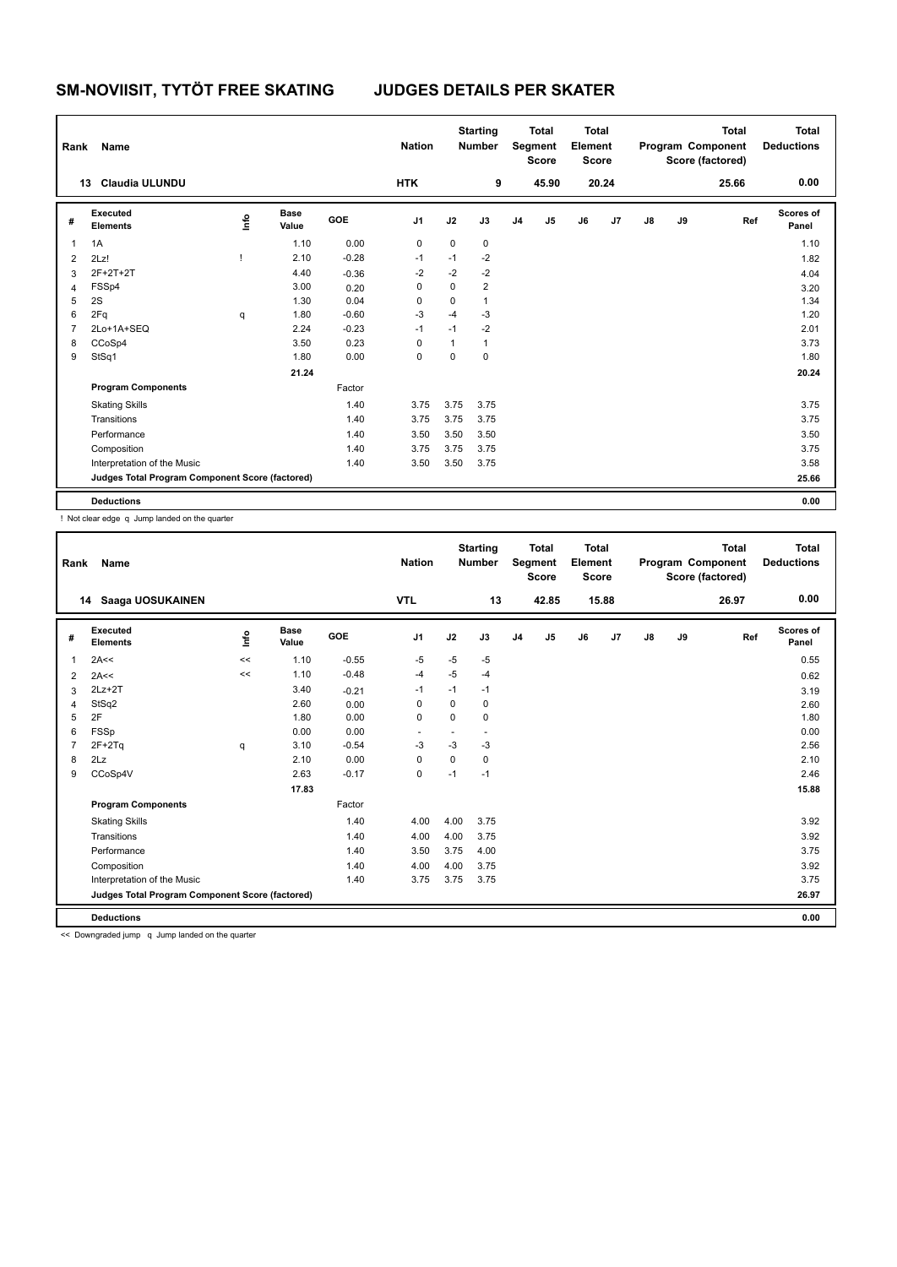| Rank           | Name                                            |    |                      |         | <b>Nation</b>  |             | <b>Starting</b><br><b>Number</b> |                | <b>Total</b><br>Segment<br><b>Score</b> | <b>Total</b><br>Element<br><b>Score</b> |       |               |    | <b>Total</b><br>Program Component<br>Score (factored) | <b>Total</b><br><b>Deductions</b> |
|----------------|-------------------------------------------------|----|----------------------|---------|----------------|-------------|----------------------------------|----------------|-----------------------------------------|-----------------------------------------|-------|---------------|----|-------------------------------------------------------|-----------------------------------|
|                | <b>Claudia ULUNDU</b><br>13                     |    |                      |         | <b>HTK</b>     |             | 9                                |                | 45.90                                   |                                         | 20.24 |               |    | 25.66                                                 | 0.00                              |
| #              | <b>Executed</b><br><b>Elements</b>              | ١m | <b>Base</b><br>Value | GOE     | J <sub>1</sub> | J2          | J3                               | J <sub>4</sub> | J5                                      | J6                                      | J7    | $\mathsf{J}8$ | J9 | Ref                                                   | <b>Scores of</b><br>Panel         |
| 1              | 1A                                              |    | 1.10                 | 0.00    | 0              | 0           | $\mathbf 0$                      |                |                                         |                                         |       |               |    |                                                       | 1.10                              |
| $\overline{2}$ | 2Lz!                                            |    | 2.10                 | $-0.28$ | $-1$           | $-1$        | $-2$                             |                |                                         |                                         |       |               |    |                                                       | 1.82                              |
| 3              | 2F+2T+2T                                        |    | 4.40                 | $-0.36$ | $-2$           | $-2$        | $-2$                             |                |                                         |                                         |       |               |    |                                                       | 4.04                              |
| $\overline{4}$ | FSSp4                                           |    | 3.00                 | 0.20    | 0              | $\mathbf 0$ | $\overline{2}$                   |                |                                         |                                         |       |               |    |                                                       | 3.20                              |
| 5              | 2S                                              |    | 1.30                 | 0.04    | 0              | 0           | 1                                |                |                                         |                                         |       |               |    |                                                       | 1.34                              |
| 6              | 2Fq                                             | q  | 1.80                 | $-0.60$ | $-3$           | $-4$        | $-3$                             |                |                                         |                                         |       |               |    |                                                       | 1.20                              |
| $\overline{7}$ | 2Lo+1A+SEQ                                      |    | 2.24                 | $-0.23$ | $-1$           | $-1$        | $-2$                             |                |                                         |                                         |       |               |    |                                                       | 2.01                              |
| 8              | CCoSp4                                          |    | 3.50                 | 0.23    | 0              | 1           | 1                                |                |                                         |                                         |       |               |    |                                                       | 3.73                              |
| 9              | StSq1                                           |    | 1.80                 | 0.00    | 0              | $\mathbf 0$ | 0                                |                |                                         |                                         |       |               |    |                                                       | 1.80                              |
|                |                                                 |    | 21.24                |         |                |             |                                  |                |                                         |                                         |       |               |    |                                                       | 20.24                             |
|                | <b>Program Components</b>                       |    |                      | Factor  |                |             |                                  |                |                                         |                                         |       |               |    |                                                       |                                   |
|                | <b>Skating Skills</b>                           |    |                      | 1.40    | 3.75           | 3.75        | 3.75                             |                |                                         |                                         |       |               |    |                                                       | 3.75                              |
|                | Transitions                                     |    |                      | 1.40    | 3.75           | 3.75        | 3.75                             |                |                                         |                                         |       |               |    |                                                       | 3.75                              |
|                | Performance                                     |    |                      | 1.40    | 3.50           | 3.50        | 3.50                             |                |                                         |                                         |       |               |    |                                                       | 3.50                              |
|                | Composition                                     |    |                      | 1.40    | 3.75           | 3.75        | 3.75                             |                |                                         |                                         |       |               |    |                                                       | 3.75                              |
|                | Interpretation of the Music                     |    |                      | 1.40    | 3.50           | 3.50        | 3.75                             |                |                                         |                                         |       |               |    |                                                       | 3.58                              |
|                | Judges Total Program Component Score (factored) |    |                      |         |                |             |                                  |                |                                         |                                         |       |               |    |                                                       | 25.66                             |
|                | <b>Deductions</b>                               |    |                      |         |                |             |                                  |                |                                         |                                         |       |               |    |                                                       | 0.00                              |

! Not clear edge q Jump landed on the quarter

| Rank | <b>Name</b>                                     |      |                      |         | <b>Nation</b>  |             | <b>Starting</b><br><b>Number</b> |                | <b>Total</b><br>Segment<br><b>Score</b> | <b>Total</b><br>Element<br><b>Score</b> |       |    |    | <b>Total</b><br>Program Component<br>Score (factored) | <b>Total</b><br><b>Deductions</b> |
|------|-------------------------------------------------|------|----------------------|---------|----------------|-------------|----------------------------------|----------------|-----------------------------------------|-----------------------------------------|-------|----|----|-------------------------------------------------------|-----------------------------------|
|      | 14 Saaga UOSUKAINEN                             |      |                      |         | <b>VTL</b>     |             | 13                               |                | 42.85                                   |                                         | 15.88 |    |    | 26.97                                                 | 0.00                              |
| #    | Executed<br><b>Elements</b>                     | lnfo | <b>Base</b><br>Value | GOE     | J <sub>1</sub> | J2          | J3                               | J <sub>4</sub> | J <sub>5</sub>                          | J6                                      | J7    | J8 | J9 | Ref                                                   | Scores of<br>Panel                |
| 1    | 2A<<                                            | <<   | 1.10                 | $-0.55$ | $-5$           | $-5$        | $-5$                             |                |                                         |                                         |       |    |    |                                                       | 0.55                              |
| 2    | 2A<<                                            | <<   | 1.10                 | $-0.48$ | $-4$           | $-5$        | $-4$                             |                |                                         |                                         |       |    |    |                                                       | 0.62                              |
| 3    | $2Lz+2T$                                        |      | 3.40                 | $-0.21$ | $-1$           | $-1$        | $-1$                             |                |                                         |                                         |       |    |    |                                                       | 3.19                              |
| 4    | StSq2                                           |      | 2.60                 | 0.00    | 0              | $\mathbf 0$ | 0                                |                |                                         |                                         |       |    |    |                                                       | 2.60                              |
| 5    | 2F                                              |      | 1.80                 | 0.00    | $\mathbf 0$    | $\mathbf 0$ | 0                                |                |                                         |                                         |       |    |    |                                                       | 1.80                              |
| 6    | <b>FSSp</b>                                     |      | 0.00                 | 0.00    |                |             |                                  |                |                                         |                                         |       |    |    |                                                       | 0.00                              |
| 7    | $2F+2Tq$                                        | q    | 3.10                 | $-0.54$ | -3             | $-3$        | $-3$                             |                |                                         |                                         |       |    |    |                                                       | 2.56                              |
| 8    | 2Lz                                             |      | 2.10                 | 0.00    | 0              | $\Omega$    | 0                                |                |                                         |                                         |       |    |    |                                                       | 2.10                              |
| 9    | CCoSp4V                                         |      | 2.63                 | $-0.17$ | $\mathbf 0$    | $-1$        | $-1$                             |                |                                         |                                         |       |    |    |                                                       | 2.46                              |
|      |                                                 |      | 17.83                |         |                |             |                                  |                |                                         |                                         |       |    |    |                                                       | 15.88                             |
|      | <b>Program Components</b>                       |      |                      | Factor  |                |             |                                  |                |                                         |                                         |       |    |    |                                                       |                                   |
|      | <b>Skating Skills</b>                           |      |                      | 1.40    | 4.00           | 4.00        | 3.75                             |                |                                         |                                         |       |    |    |                                                       | 3.92                              |
|      | Transitions                                     |      |                      | 1.40    | 4.00           | 4.00        | 3.75                             |                |                                         |                                         |       |    |    |                                                       | 3.92                              |
|      | Performance                                     |      |                      | 1.40    | 3.50           | 3.75        | 4.00                             |                |                                         |                                         |       |    |    |                                                       | 3.75                              |
|      | Composition                                     |      |                      | 1.40    | 4.00           | 4.00        | 3.75                             |                |                                         |                                         |       |    |    |                                                       | 3.92                              |
|      | Interpretation of the Music                     |      |                      | 1.40    | 3.75           | 3.75        | 3.75                             |                |                                         |                                         |       |    |    |                                                       | 3.75                              |
|      | Judges Total Program Component Score (factored) |      |                      |         |                |             |                                  |                |                                         |                                         |       |    |    |                                                       | 26.97                             |
|      | <b>Deductions</b>                               |      |                      |         |                |             |                                  |                |                                         |                                         |       |    |    |                                                       | 0.00                              |

<< Downgraded jump q Jump landed on the quarter